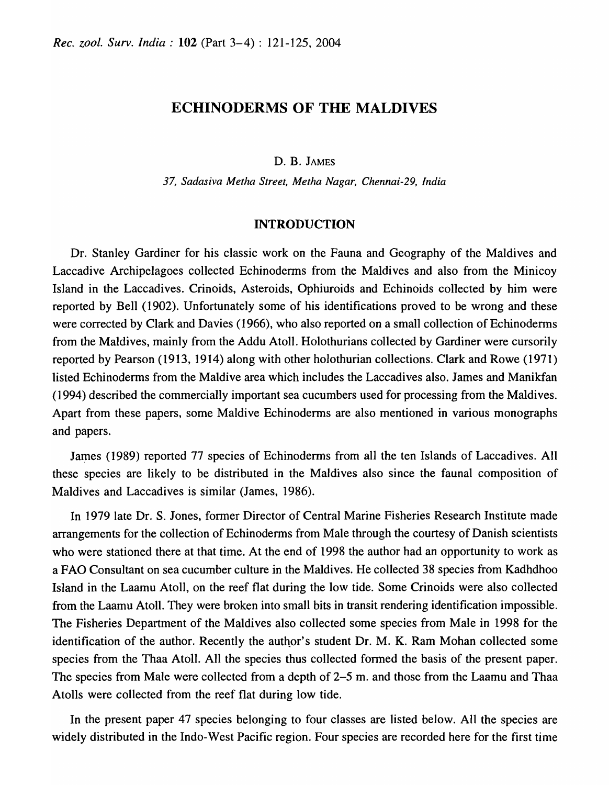# ECHINODERMS OF THE MALDIVES

D. B. JAMES

*37, Sadasiva Metha Street, Metha Nagar, Chennai-29, India* 

#### INTRODUCTION

Dr. Stanley Gardiner for his classic work on the Fauna and Geography of the Maldives and Laccadive Archipelagoes collected Echinoderms from the Maldives and also from the Minicoy Island in the Laccadives. Crinoids, Asteroids, Ophiuroids and Echinoids collected by him were reported by Bell (1902). Unfortunately some of his identifications proved to be wrong and these were corrected by Clark and Davies (1966), who also reported on a small collection of Echinoderms from the Maldives, mainly from the Addu Atoll. Holothurians collected by Gardiner were cursorily reported by Pearson (1913, 1914) along with other holothurian collections. Clark and Rowe (1971) listed Echinoderms from the Maldive area which includes the Laccadives also. James and Manikfan (1994) described the commercial1y important sea cucumbers used for processing from the Maldives. Apart from these papers, some Maldive Echinoderms are also mentioned in various monographs and papers.

James (1989) reported 77 species of Echinoderms from all the ten Islands of Laccadives. All these species are likely to be distributed in the Maldives also since the faunal composition of Maldives and Laccadives is similar (James, 1986).

In 1979 late Dr. S. Jones, former Director of Central Marine Fisheries Research Institute made arrangements for the collection of Echinoderms from Male through the courtesy of Danish scientists who were stationed there at that time. At the end of 1998 the author had an opportunity to work as a FAO Consultant on sea cucumber culture in the Maldives. He collected 38 species from Kadhdhoo Island in the Laamu Atoll, on the reef flat during the low tide. Some Crinoids were also collected from the Laamu Atol1. They were broken into small bits in transit rendering identification impossible. The Fisheries Department of the Maldives also collected some species from Male in 1998 for the identification of the author. Recently the author's student Dr. M. K. Ram Mohan collected some species from the Thaa Atoll. All the species thus collected formed the basis of the present paper. The species from Male were collected from a depth of 2-5 m. and those from the Laamu and Thaa Atolls were collected from the reef flat during low tide.

In the present paper 47 species belonging to four classes are listed below. All the species are widely distributed in the Indo-West Pacific region. Four species are recorded here for the first time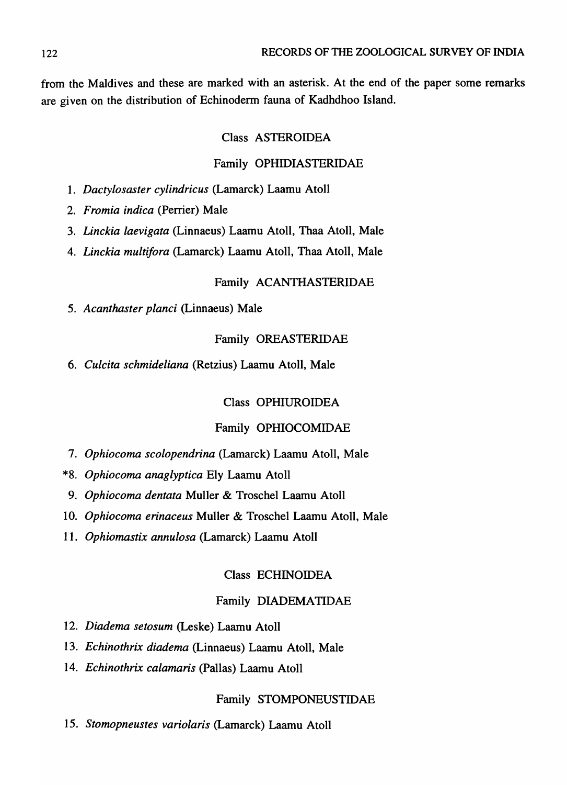from the Maldives and these are marked with an asterisk. At the end of the paper some remarks are given on the distribution of Echinoderm fauna of Kadhdhoo Island.

## Class ASTEROIDEA

## Family OPHIDIASTERIDAE

- *1. Dactylosaster cylindricus* (Lamarck) Laamu Atoll
- *2. Fromia indica* (Perrier) Male
- *3. Linckia laevigata* (Linnaeus) Laamu Atoll, Thaa Atoll, Male
- *4. Linckia multifora* (Lamarck) Laamu Atoll, Thaa Atoll, Male

### Family ACANTHASTERIDAE

*5. Acanthaster planci* (Linnaeus) Male

## Family OREASTERIDAE

*6. Culcita schmideliana* (Retzius) Laamu Atoll, Male

### Class OPHIUROIDEA

## Family OPHIOCOMIDAE

- *7. Ophiocoma scolopendrina* (Lamarck) Laamu Atoll, Male
- *\*8. Ophiocoma anaglyptica* Ely Laamu Atoll
- *9. Ophiocoma dentata* Muller & Troschel Laamu Atoll
- *10. Ophiocoma erinaceus* Muller & Troschel Laamu Atoll, Male
- *11. Ophiomastix annulosa* (Lamarck) Laamu Atoll

## Class ECHINOIDEA

## Family DIADEMATIDAE

- *12. Diadema setosum* (Leske) Laamu Atoll
- *13. Echinothrix diadema* (Linnaeus) Laamu Atoll, Male
- *14. Echinothrix calamaris* (Pallas) Laamu Atoll

### Family STOMPONEUSTIDAE

*15. Stomopneustes variolaris* (Lamarck) Laamu Atoll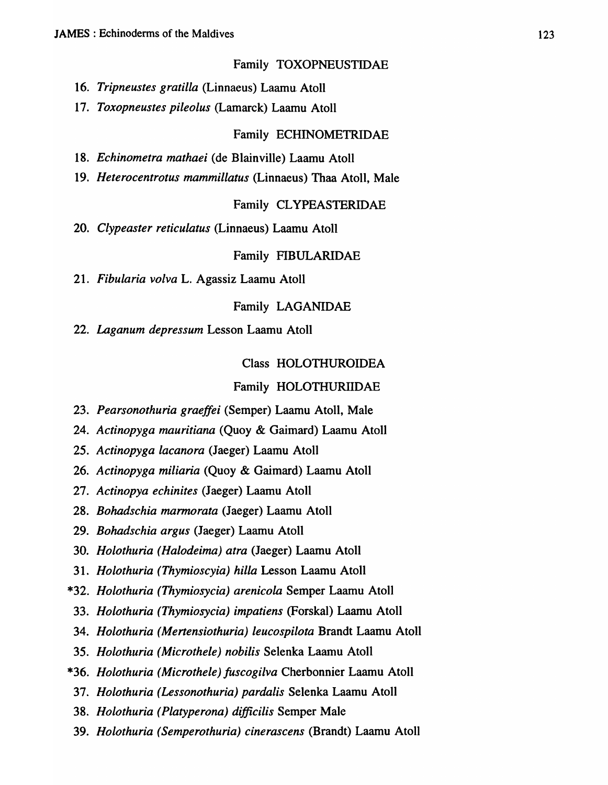Family TOXOPNEUSTIDAE

- *16. Tripneustes gratilla* (Linnaeus) Laamu. Atoll
- *17. Toxopneustes pileolus* (Lamarck) Laamu Atoll

### Family ECHINOMETRIDAE

- *18. Echinometra mathaei* (de Blainville) Laamu Atoll
- 19. Heterocentrotus mammillatus (Linnaeus) Thaa Atoll, Male

### Family CL YPEASTERIDAE

*20. Clypeaster reticulatus* (Linnaeus) Laamu Atoll

#### Family FIBULARIDAE

*21. Fibularia volva* L. Agassiz Laamu Atoll

## Family LAGANIDAE

*22. Laganum depressum* Lesson Laamu Atoll

Class HOLOTHUROIDEA

#### Family HOLOTHURIIDAE

- *23. Pearsonothuria graeffei* (Semper) Laamu Atoll, Male
- *24. Actinopyga mauritiana* (Quoy & Gaimard) Laamu Atoll
- *25. Actinopyga lacanora* (Jaeger) Laamu Atoll
- *26. Actinopyga miliaria* (Quoy & Gaimard) Laamu Atoll
- *27. Actinopya echinites* (Jaeger) Laamu Atoll
- *28. Bohadschia marmorata* (Jaeger) Laamu Atoll
- *29. Bohadschia argus* (Jaeger) Laamu Atoll
- *30. Holothuria (Halodeima) atra* (Jaeger) Laamu Atoll
- *31. Holothuria (Thymioscyia) hilla* Lesson Laamu Atoll
- *\*32. Holothuria (Thymiosycia) arenicola* Semper Laamu Atoll
- *33. Holothuria (Thymiosycia) impatiens* (Forskal) Laamu Atoll
- *34. Holothuria (Mertensiothuria) leucospilota* Brandt Laamu Atoll
- *35. Holothuria (Microthele) nobilis* Selenka Laamu Atoll
- *\*36. Holothuria (Microthele) fuscogilva* Cherbonnier Laamu Atoll
- *37. Holothuria (Lessonothuria) pardalis* Selenka Laamu Atoll
- *38. Holothuria (Platyperona) difficilis* Semper Male
- *39. Holothuria (Semperothuria) cinerascens* (Brandt) Laamu Atoll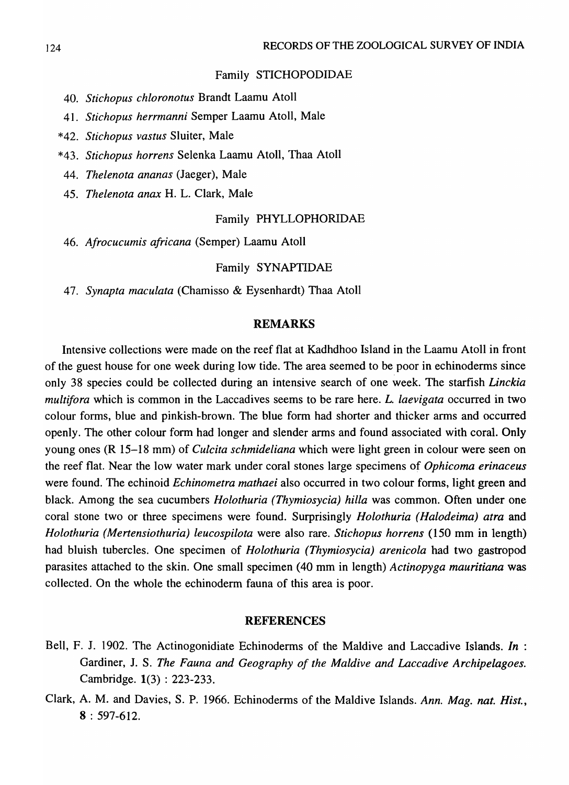#### Family STICHOPODIDAE

- *40. Stichopus chloronotus* Brandt Laamu Atoll
- 41. *Stich opus herrmanni* Semper Laamu Atoll, Male
- *\*42. Stichopus vastus* Sluiter, Male
- *\*43. Stichopus horrens* Selenka Laamu Atoll, Thaa Atoll
- *44. Thelenota ananas* (Jaeger), Male
- *45. Thelenota anax* H. L. Clark, Male

#### Family PHYLLOPHORIDAE

*46. Afrocucumis africana* (Semper) Laamu Atoll

#### Family SYNAPTIDAE

*47. Synapta maculata* (Chamisso & Eysenhardt) Thaa Atoll

#### REMARKS

Intensive collections were made on the reef flat at Kadhdhoo Island in the Laamu Atoll in front of the guest house for one week during low tide. The area seemed to be poor in echinoderms since only 38 species could be collected during an intensive search of one week. The starfish *Linckia multifora* which is common in the Laccadives seems to be rare here. *L. laevigata* occurred in two colour forms, blue and pinkish-brown. The blue form had shorter and thicker arms and occurred openly. The other colour form had longer and slender arms and found associated with coral. Only young ones (R 15-18 mm) of *Culcita schmideliana* which were light green in colour were seen on the reef flat. Near the low water mark under coral stones large specimens of *Ophicoma erinaceus*  were found. The echinoid *Echinometra mathaei* also occurred in two colour forms, light green and black. Among the sea cucumbers *Holothuria (Thymiosycia) hilla* was common. Often under one coral stone two or three specimens were found. Surprisingly *Holothuria (Halodeima) atra* and *Holothuria (Mertensiothuria) leucospilota* were also rare. *Stichopus horrens* (150 mm in length) had bluish tubercles. One specimen of *Holothuria (Thymiosycia) arenicola* had two gastropod parasites attached to the skin. One small specimen (40 mm in length) *Actinopyga mauritiana* was collected. On the whole the echinoderm fauna of this area is poor.

#### REFERENCES

- Bell, F. J. 1902. The Actinogonidiate Echinoderms of the Maldive and Laccadive Islands. *In* : Gardiner, J. S. *The Fauna and Geography of the Maldive and Laccadive Archipelagoes.*  Cambridge. 1(3) : 223-233.
- Clark, A. M. and Davies, S. P. 1966. Echinoderms of the Maldive Islands. *Ann. Mag. nat. Hist.,*   $8:597-612.$